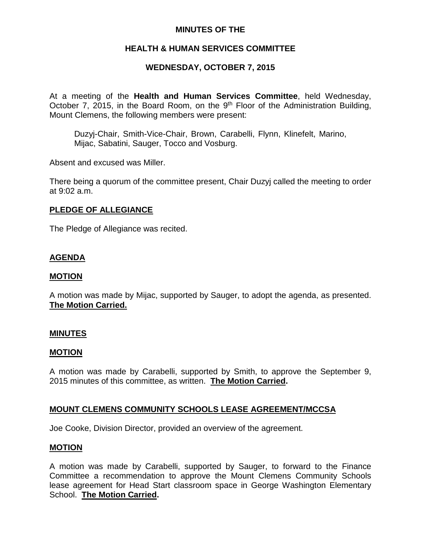# **MINUTES OF THE**

# **HEALTH & HUMAN SERVICES COMMITTEE**

# **WEDNESDAY, OCTOBER 7, 2015**

At a meeting of the **Health and Human Services Committee**, held Wednesday, October 7, 2015, in the Board Room, on the  $9<sup>th</sup>$  Floor of the Administration Building, Mount Clemens, the following members were present:

Duzyj-Chair, Smith-Vice-Chair, Brown, Carabelli, Flynn, Klinefelt, Marino, Mijac, Sabatini, Sauger, Tocco and Vosburg.

Absent and excused was Miller.

There being a quorum of the committee present, Chair Duzyj called the meeting to order at 9:02 a.m.

### **PLEDGE OF ALLEGIANCE**

The Pledge of Allegiance was recited.

# **AGENDA**

### **MOTION**

A motion was made by Mijac, supported by Sauger, to adopt the agenda, as presented. **The Motion Carried.**

### **MINUTES**

### **MOTION**

A motion was made by Carabelli, supported by Smith, to approve the September 9, 2015 minutes of this committee, as written. **The Motion Carried.**

### **MOUNT CLEMENS COMMUNITY SCHOOLS LEASE AGREEMENT/MCCSA**

Joe Cooke, Division Director, provided an overview of the agreement.

### **MOTION**

A motion was made by Carabelli, supported by Sauger, to forward to the Finance Committee a recommendation to approve the Mount Clemens Community Schools lease agreement for Head Start classroom space in George Washington Elementary School. **The Motion Carried.**